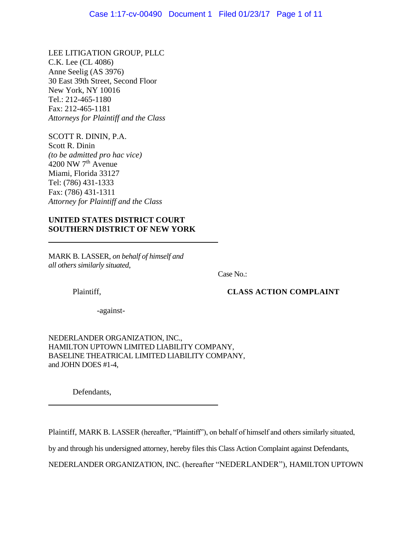LEE LITIGATION GROUP, PLLC C.K. Lee (CL 4086) Anne Seelig (AS 3976) 30 East 39th Street, Second Floor New York, NY 10016 Tel.: 212-465-1180 Fax: 212-465-1181 *Attorneys for Plaintiff and the Class*

SCOTT R. DININ, P.A. Scott R. Dinin *(to be admitted pro hac vice)* 4200 NW  $7<sup>th</sup>$  Avenue Miami, Florida 33127 Tel: (786) 431-1333 Fax: (786) 431-1311 *Attorney for Plaintiff and the Class*

# **UNITED STATES DISTRICT COURT SOUTHERN DISTRICT OF NEW YORK**

MARK B. LASSER, *on behalf of himself and all others similarly situated*,

Case No.:

Plaintiff, **CLASS ACTION COMPLAINT**

-against-

NEDERLANDER ORGANIZATION, INC., HAMILTON UPTOWN LIMITED LIABILITY COMPANY, BASELINE THEATRICAL LIMITED LIABILITY COMPANY, and JOHN DOES #1-4,

Defendants,

Plaintiff, MARK B. LASSER (hereafter, "Plaintiff"), on behalf of himself and others similarly situated,

by and through his undersigned attorney, hereby files this Class Action Complaint against Defendants,

NEDERLANDER ORGANIZATION, INC. (hereafter "NEDERLANDER"), HAMILTON UPTOWN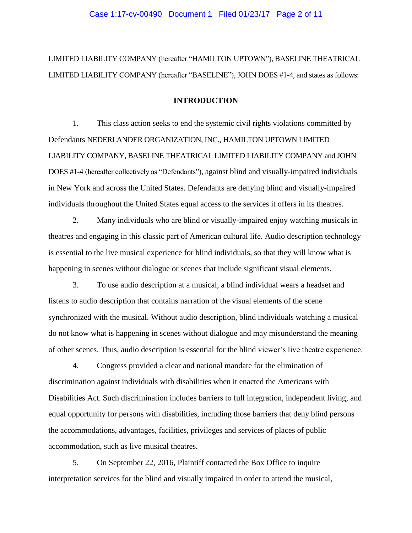LIMITED LIABILITY COMPANY (hereafter "HAMILTON UPTOWN"), BASELINE THEATRICAL LIMITED LIABILITY COMPANY (hereafter "BASELINE"), JOHN DOES #1-4, and states as follows:

## **INTRODUCTION**

1. This class action seeks to end the systemic civil rights violations committed by Defendants NEDERLANDER ORGANIZATION, INC., HAMILTON UPTOWN LIMITED LIABILITY COMPANY, BASELINE THEATRICAL LIMITED LIABILITY COMPANY and JOHN DOES #1-4 (hereafter collectively as "Defendants"), against blind and visually-impaired individuals in New York and across the United States. Defendants are denying blind and visually-impaired individuals throughout the United States equal access to the services it offers in its theatres.

2. Many individuals who are blind or visually-impaired enjoy watching musicals in theatres and engaging in this classic part of American cultural life. Audio description technology is essential to the live musical experience for blind individuals, so that they will know what is happening in scenes without dialogue or scenes that include significant visual elements.

3. To use audio description at a musical, a blind individual wears a headset and listens to audio description that contains narration of the visual elements of the scene synchronized with the musical. Without audio description, blind individuals watching a musical do not know what is happening in scenes without dialogue and may misunderstand the meaning of other scenes. Thus, audio description is essential for the blind viewer's live theatre experience.

4. Congress provided a clear and national mandate for the elimination of discrimination against individuals with disabilities when it enacted the Americans with Disabilities Act. Such discrimination includes barriers to full integration, independent living, and equal opportunity for persons with disabilities, including those barriers that deny blind persons the accommodations, advantages, facilities, privileges and services of places of public accommodation, such as live musical theatres.

5. On September 22, 2016, Plaintiff contacted the Box Office to inquire interpretation services for the blind and visually impaired in order to attend the musical,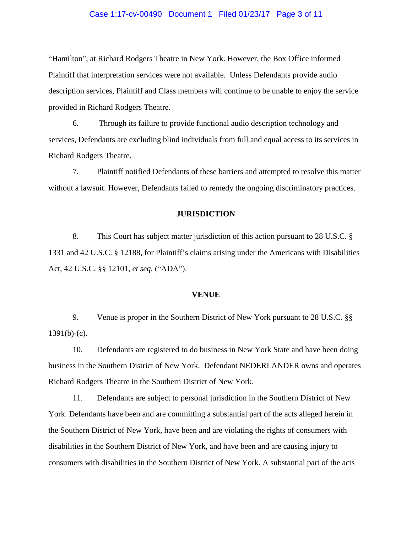## Case 1:17-cv-00490 Document 1 Filed 01/23/17 Page 3 of 11

"Hamilton", at Richard Rodgers Theatre in New York. However, the Box Office informed Plaintiff that interpretation services were not available. Unless Defendants provide audio description services, Plaintiff and Class members will continue to be unable to enjoy the service provided in Richard Rodgers Theatre.

6. Through its failure to provide functional audio description technology and services, Defendants are excluding blind individuals from full and equal access to its services in Richard Rodgers Theatre.

7. Plaintiff notified Defendants of these barriers and attempted to resolve this matter without a lawsuit. However, Defendants failed to remedy the ongoing discriminatory practices.

#### **JURISDICTION**

8. This Court has subject matter jurisdiction of this action pursuant to 28 U.S.C. § 1331 and 42 U.S.C. § 12188, for Plaintiff's claims arising under the Americans with Disabilities Act, 42 U.S.C. §§ 12101, *et seq.* ("ADA").

#### **VENUE**

9. Venue is proper in the Southern District of New York pursuant to 28 U.S.C. §§  $1391(b)-(c)$ .

10. Defendants are registered to do business in New York State and have been doing business in the Southern District of New York. Defendant NEDERLANDER owns and operates Richard Rodgers Theatre in the Southern District of New York.

11. Defendants are subject to personal jurisdiction in the Southern District of New York. Defendants have been and are committing a substantial part of the acts alleged herein in the Southern District of New York, have been and are violating the rights of consumers with disabilities in the Southern District of New York, and have been and are causing injury to consumers with disabilities in the Southern District of New York. A substantial part of the acts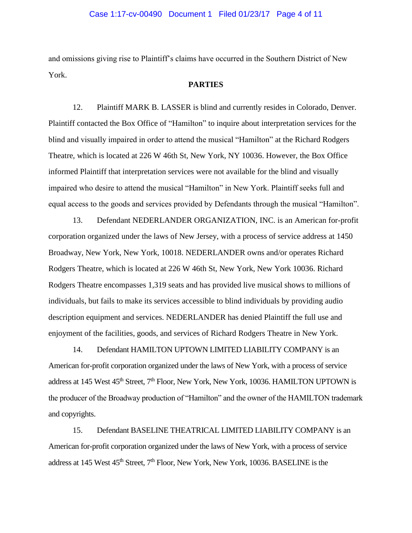and omissions giving rise to Plaintiff's claims have occurred in the Southern District of New York.

#### **PARTIES**

12. Plaintiff MARK B. LASSER is blind and currently resides in Colorado, Denver. Plaintiff contacted the Box Office of "Hamilton" to inquire about interpretation services for the blind and visually impaired in order to attend the musical "Hamilton" at the Richard Rodgers Theatre, which is located at 226 W 46th St, New York, NY 10036. However, the Box Office informed Plaintiff that interpretation services were not available for the blind and visually impaired who desire to attend the musical "Hamilton" in New York. Plaintiff seeks full and equal access to the goods and services provided by Defendants through the musical "Hamilton".

13. Defendant NEDERLANDER ORGANIZATION, INC. is an American for-profit corporation organized under the laws of New Jersey, with a process of service address at 1450 Broadway, New York, New York, 10018. NEDERLANDER owns and/or operates Richard Rodgers Theatre, which is located at 226 W 46th St, New York, New York 10036. Richard Rodgers Theatre encompasses 1,319 seats and has provided live musical shows to millions of individuals, but fails to make its services accessible to blind individuals by providing audio description equipment and services. NEDERLANDER has denied Plaintiff the full use and enjoyment of the facilities, goods, and services of Richard Rodgers Theatre in New York.

14. Defendant HAMILTON UPTOWN LIMITED LIABILITY COMPANY is an American for-profit corporation organized under the laws of New York, with a process of service address at 145 West 45<sup>th</sup> Street, 7<sup>th</sup> Floor, New York, New York, 10036. HAMILTON UPTOWN is the producer of the Broadway production of "Hamilton" and the owner of the HAMILTON trademark and copyrights.

15. Defendant BASELINE THEATRICAL LIMITED LIABILITY COMPANY is an American for-profit corporation organized under the laws of New York, with a process of service address at 145 West 45<sup>th</sup> Street, 7<sup>th</sup> Floor, New York, New York, 10036. BASELINE is the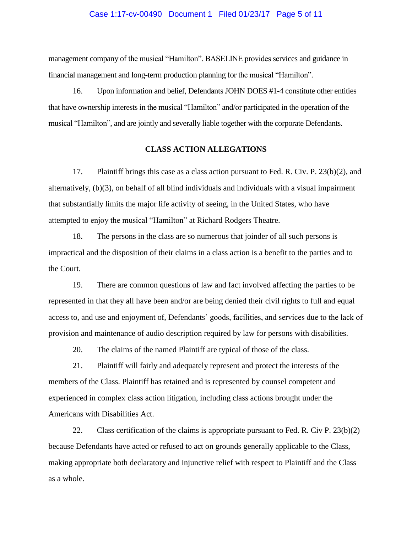## Case 1:17-cv-00490 Document 1 Filed 01/23/17 Page 5 of 11

management company of the musical "Hamilton". BASELINE provides services and guidance in financial management and long-term production planning for the musical "Hamilton".

16. Upon information and belief, Defendants JOHN DOES #1-4 constitute other entities that have ownership interests in the musical "Hamilton" and/or participated in the operation of the musical "Hamilton", and are jointly and severally liable together with the corporate Defendants.

## **CLASS ACTION ALLEGATIONS**

17. Plaintiff brings this case as a class action pursuant to Fed. R. Civ. P. 23(b)(2), and alternatively, (b)(3), on behalf of all blind individuals and individuals with a visual impairment that substantially limits the major life activity of seeing, in the United States, who have attempted to enjoy the musical "Hamilton" at Richard Rodgers Theatre.

18. The persons in the class are so numerous that joinder of all such persons is impractical and the disposition of their claims in a class action is a benefit to the parties and to the Court.

19. There are common questions of law and fact involved affecting the parties to be represented in that they all have been and/or are being denied their civil rights to full and equal access to, and use and enjoyment of, Defendants' goods, facilities, and services due to the lack of provision and maintenance of audio description required by law for persons with disabilities.

20. The claims of the named Plaintiff are typical of those of the class.

21. Plaintiff will fairly and adequately represent and protect the interests of the members of the Class. Plaintiff has retained and is represented by counsel competent and experienced in complex class action litigation, including class actions brought under the Americans with Disabilities Act.

22. Class certification of the claims is appropriate pursuant to Fed. R. Civ P. 23(b)(2) because Defendants have acted or refused to act on grounds generally applicable to the Class, making appropriate both declaratory and injunctive relief with respect to Plaintiff and the Class as a whole.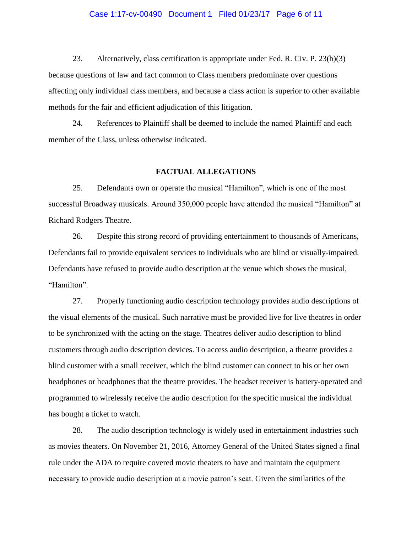## Case 1:17-cv-00490 Document 1 Filed 01/23/17 Page 6 of 11

23. Alternatively, class certification is appropriate under Fed. R. Civ. P. 23(b)(3) because questions of law and fact common to Class members predominate over questions affecting only individual class members, and because a class action is superior to other available methods for the fair and efficient adjudication of this litigation.

24. References to Plaintiff shall be deemed to include the named Plaintiff and each member of the Class, unless otherwise indicated.

#### **FACTUAL ALLEGATIONS**

25. Defendants own or operate the musical "Hamilton", which is one of the most successful Broadway musicals. Around 350,000 people have attended the musical "Hamilton" at Richard Rodgers Theatre.

26. Despite this strong record of providing entertainment to thousands of Americans, Defendants fail to provide equivalent services to individuals who are blind or visually-impaired. Defendants have refused to provide audio description at the venue which shows the musical, "Hamilton".

27. Properly functioning audio description technology provides audio descriptions of the visual elements of the musical. Such narrative must be provided live for live theatres in order to be synchronized with the acting on the stage. Theatres deliver audio description to blind customers through audio description devices. To access audio description, a theatre provides a blind customer with a small receiver, which the blind customer can connect to his or her own headphones or headphones that the theatre provides. The headset receiver is battery-operated and programmed to wirelessly receive the audio description for the specific musical the individual has bought a ticket to watch.

28. The audio description technology is widely used in entertainment industries such as movies theaters. On November 21, 2016, Attorney General of the United States signed a final rule under the ADA to require covered movie theaters to have and maintain the equipment necessary to provide audio description at a movie patron's seat. Given the similarities of the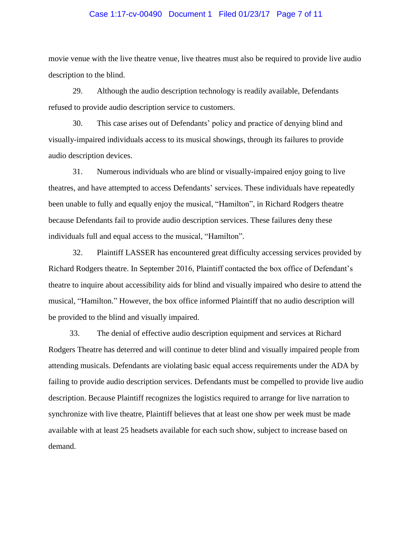## Case 1:17-cv-00490 Document 1 Filed 01/23/17 Page 7 of 11

movie venue with the live theatre venue, live theatres must also be required to provide live audio description to the blind.

29. Although the audio description technology is readily available, Defendants refused to provide audio description service to customers.

30. This case arises out of Defendants' policy and practice of denying blind and visually-impaired individuals access to its musical showings, through its failures to provide audio description devices.

31. Numerous individuals who are blind or visually-impaired enjoy going to live theatres, and have attempted to access Defendants' services. These individuals have repeatedly been unable to fully and equally enjoy the musical, "Hamilton", in Richard Rodgers theatre because Defendants fail to provide audio description services. These failures deny these individuals full and equal access to the musical, "Hamilton".

32. Plaintiff LASSER has encountered great difficulty accessing services provided by Richard Rodgers theatre. In September 2016, Plaintiff contacted the box office of Defendant's theatre to inquire about accessibility aids for blind and visually impaired who desire to attend the musical, "Hamilton." However, the box office informed Plaintiff that no audio description will be provided to the blind and visually impaired.

33. The denial of effective audio description equipment and services at Richard Rodgers Theatre has deterred and will continue to deter blind and visually impaired people from attending musicals. Defendants are violating basic equal access requirements under the ADA by failing to provide audio description services. Defendants must be compelled to provide live audio description. Because Plaintiff recognizes the logistics required to arrange for live narration to synchronize with live theatre, Plaintiff believes that at least one show per week must be made available with at least 25 headsets available for each such show, subject to increase based on demand.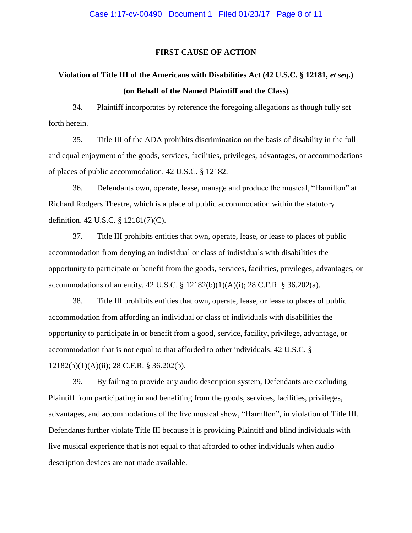# **FIRST CAUSE OF ACTION**

# **Violation of Title III of the Americans with Disabilities Act (42 U.S.C. § 12181,** *et seq.***) (on Behalf of the Named Plaintiff and the Class)**

34. Plaintiff incorporates by reference the foregoing allegations as though fully set forth herein.

35. Title III of the ADA prohibits discrimination on the basis of disability in the full and equal enjoyment of the goods, services, facilities, privileges, advantages, or accommodations of places of public accommodation. 42 U.S.C. § 12182.

36. Defendants own, operate, lease, manage and produce the musical, "Hamilton" at Richard Rodgers Theatre, which is a place of public accommodation within the statutory definition. 42 U.S.C. § 12181(7)(C).

37. Title III prohibits entities that own, operate, lease, or lease to places of public accommodation from denying an individual or class of individuals with disabilities the opportunity to participate or benefit from the goods, services, facilities, privileges, advantages, or accommodations of an entity. 42 U.S.C. § 12182(b)(1)(A)(i); 28 C.F.R. § 36.202(a).

38. Title III prohibits entities that own, operate, lease, or lease to places of public accommodation from affording an individual or class of individuals with disabilities the opportunity to participate in or benefit from a good, service, facility, privilege, advantage, or accommodation that is not equal to that afforded to other individuals. 42 U.S.C. § 12182(b)(1)(A)(ii); 28 C.F.R. § 36.202(b).

39. By failing to provide any audio description system, Defendants are excluding Plaintiff from participating in and benefiting from the goods, services, facilities, privileges, advantages, and accommodations of the live musical show, "Hamilton", in violation of Title III. Defendants further violate Title III because it is providing Plaintiff and blind individuals with live musical experience that is not equal to that afforded to other individuals when audio description devices are not made available.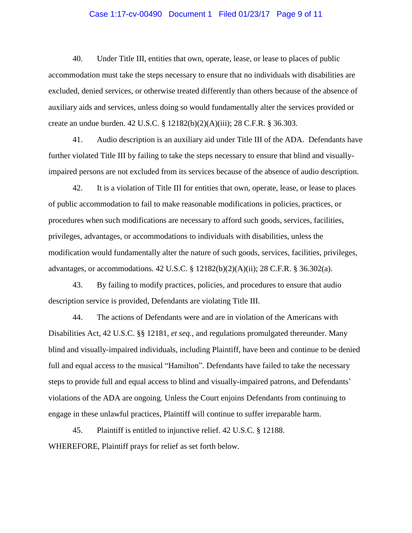## Case 1:17-cv-00490 Document 1 Filed 01/23/17 Page 9 of 11

40. Under Title III, entities that own, operate, lease, or lease to places of public accommodation must take the steps necessary to ensure that no individuals with disabilities are excluded, denied services, or otherwise treated differently than others because of the absence of auxiliary aids and services, unless doing so would fundamentally alter the services provided or create an undue burden. 42 U.S.C. § 12182(b)(2)(A)(iii); 28 C.F.R. § 36.303.

41. Audio description is an auxiliary aid under Title III of the ADA. Defendants have further violated Title III by failing to take the steps necessary to ensure that blind and visuallyimpaired persons are not excluded from its services because of the absence of audio description.

42. It is a violation of Title III for entities that own, operate, lease, or lease to places of public accommodation to fail to make reasonable modifications in policies, practices, or procedures when such modifications are necessary to afford such goods, services, facilities, privileges, advantages, or accommodations to individuals with disabilities, unless the modification would fundamentally alter the nature of such goods, services, facilities, privileges, advantages, or accommodations. 42 U.S.C. § 12182(b)(2)(A)(ii); 28 C.F.R. § 36.302(a).

43. By failing to modify practices, policies, and procedures to ensure that audio description service is provided, Defendants are violating Title III.

44. The actions of Defendants were and are in violation of the Americans with Disabilities Act, 42 U.S.C. §§ 12181, *et seq.*, and regulations promulgated thereunder. Many blind and visually-impaired individuals, including Plaintiff, have been and continue to be denied full and equal access to the musical "Hamilton". Defendants have failed to take the necessary steps to provide full and equal access to blind and visually-impaired patrons, and Defendants' violations of the ADA are ongoing. Unless the Court enjoins Defendants from continuing to engage in these unlawful practices, Plaintiff will continue to suffer irreparable harm.

45. Plaintiff is entitled to injunctive relief. 42 U.S.C. § 12188. WHEREFORE, Plaintiff prays for relief as set forth below.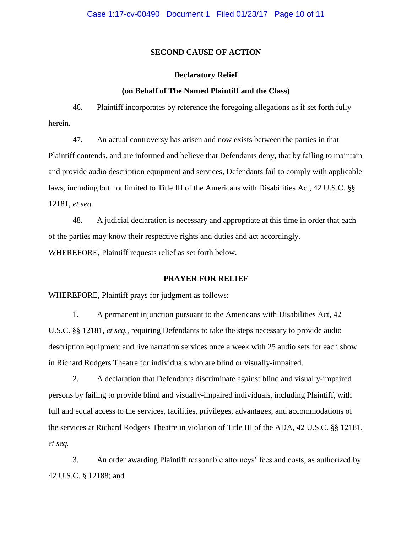## **SECOND CAUSE OF ACTION**

#### **Declaratory Relief**

#### **(on Behalf of The Named Plaintiff and the Class)**

46. Plaintiff incorporates by reference the foregoing allegations as if set forth fully herein.

47. An actual controversy has arisen and now exists between the parties in that Plaintiff contends, and are informed and believe that Defendants deny, that by failing to maintain and provide audio description equipment and services, Defendants fail to comply with applicable laws, including but not limited to Title III of the Americans with Disabilities Act, 42 U.S.C. §§ 12181, *et seq*.

48. A judicial declaration is necessary and appropriate at this time in order that each of the parties may know their respective rights and duties and act accordingly. WHEREFORE, Plaintiff requests relief as set forth below.

# **PRAYER FOR RELIEF**

WHEREFORE, Plaintiff prays for judgment as follows:

1. A permanent injunction pursuant to the Americans with Disabilities Act, 42 U.S.C. §§ 12181, *et seq.*, requiring Defendants to take the steps necessary to provide audio description equipment and live narration services once a week with 25 audio sets for each show in Richard Rodgers Theatre for individuals who are blind or visually-impaired.

2. A declaration that Defendants discriminate against blind and visually-impaired persons by failing to provide blind and visually-impaired individuals, including Plaintiff, with full and equal access to the services, facilities, privileges, advantages, and accommodations of the services at Richard Rodgers Theatre in violation of Title III of the ADA, 42 U.S.C. §§ 12181, *et seq.*

3. An order awarding Plaintiff reasonable attorneys' fees and costs, as authorized by 42 U.S.C. § 12188; and